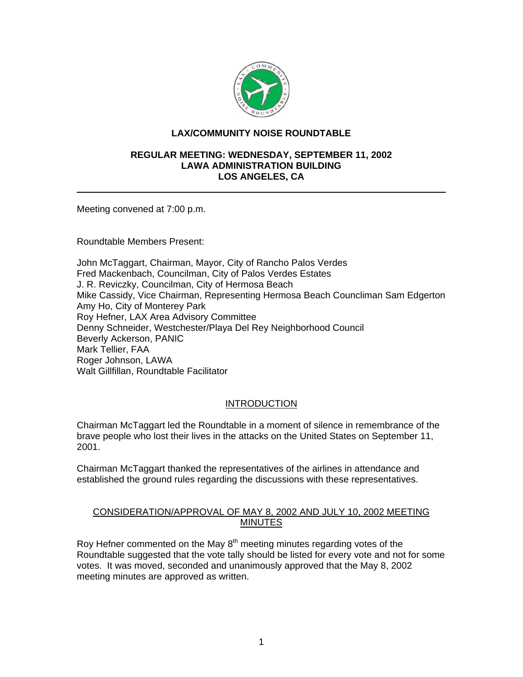

## **LAX/COMMUNITY NOISE ROUNDTABLE**

#### **REGULAR MEETING: WEDNESDAY, SEPTEMBER 11, 2002 LAWA ADMINISTRATION BUILDING LOS ANGELES, CA**

Meeting convened at 7:00 p.m.

Roundtable Members Present:

John McTaggart, Chairman, Mayor, City of Rancho Palos Verdes Fred Mackenbach, Councilman, City of Palos Verdes Estates J. R. Reviczky, Councilman, City of Hermosa Beach Mike Cassidy, Vice Chairman, Representing Hermosa Beach Councliman Sam Edgerton Amy Ho, City of Monterey Park Roy Hefner, LAX Area Advisory Committee Denny Schneider, Westchester/Playa Del Rey Neighborhood Council Beverly Ackerson, PANIC Mark Tellier, FAA Roger Johnson, LAWA Walt Gillfillan, Roundtable Facilitator

### INTRODUCTION

Chairman McTaggart led the Roundtable in a moment of silence in remembrance of the brave people who lost their lives in the attacks on the United States on September 11, 2001.

Chairman McTaggart thanked the representatives of the airlines in attendance and established the ground rules regarding the discussions with these representatives.

### CONSIDERATION/APPROVAL OF MAY 8, 2002 AND JULY 10, 2002 MEETING **MINUTES**

Roy Hefner commented on the May  $8<sup>th</sup>$  meeting minutes regarding votes of the Roundtable suggested that the vote tally should be listed for every vote and not for some votes. It was moved, seconded and unanimously approved that the May 8, 2002 meeting minutes are approved as written.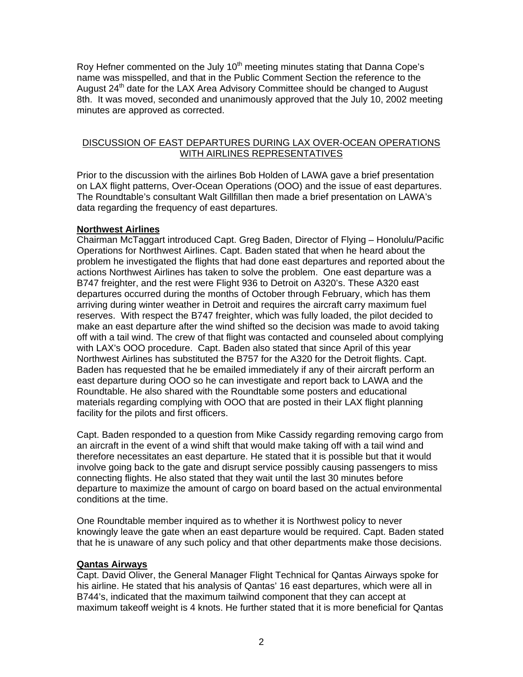Roy Hefner commented on the July  $10<sup>th</sup>$  meeting minutes stating that Danna Cope's name was misspelled, and that in the Public Comment Section the reference to the August 24<sup>th</sup> date for the LAX Area Advisory Committee should be changed to August 8th. It was moved, seconded and unanimously approved that the July 10, 2002 meeting minutes are approved as corrected.

### DISCUSSION OF EAST DEPARTURES DURING LAX OVER-OCEAN OPERATIONS WITH AIRLINES REPRESENTATIVES

Prior to the discussion with the airlines Bob Holden of LAWA gave a brief presentation on LAX flight patterns, Over-Ocean Operations (OOO) and the issue of east departures. The Roundtable's consultant Walt Gillfillan then made a brief presentation on LAWA's data regarding the frequency of east departures.

### **Northwest Airlines**

Chairman McTaggart introduced Capt. Greg Baden, Director of Flying – Honolulu/Pacific Operations for Northwest Airlines. Capt. Baden stated that when he heard about the problem he investigated the flights that had done east departures and reported about the actions Northwest Airlines has taken to solve the problem. One east departure was a B747 freighter, and the rest were Flight 936 to Detroit on A320's. These A320 east departures occurred during the months of October through February, which has them arriving during winter weather in Detroit and requires the aircraft carry maximum fuel reserves. With respect the B747 freighter, which was fully loaded, the pilot decided to make an east departure after the wind shifted so the decision was made to avoid taking off with a tail wind. The crew of that flight was contacted and counseled about complying with LAX's OOO procedure. Capt. Baden also stated that since April of this year Northwest Airlines has substituted the B757 for the A320 for the Detroit flights. Capt. Baden has requested that he be emailed immediately if any of their aircraft perform an east departure during OOO so he can investigate and report back to LAWA and the Roundtable. He also shared with the Roundtable some posters and educational materials regarding complying with OOO that are posted in their LAX flight planning facility for the pilots and first officers.

Capt. Baden responded to a question from Mike Cassidy regarding removing cargo from an aircraft in the event of a wind shift that would make taking off with a tail wind and therefore necessitates an east departure. He stated that it is possible but that it would involve going back to the gate and disrupt service possibly causing passengers to miss connecting flights. He also stated that they wait until the last 30 minutes before departure to maximize the amount of cargo on board based on the actual environmental conditions at the time.

One Roundtable member inquired as to whether it is Northwest policy to never knowingly leave the gate when an east departure would be required. Capt. Baden stated that he is unaware of any such policy and that other departments make those decisions.

#### **Qantas Airways**

Capt. David Oliver, the General Manager Flight Technical for Qantas Airways spoke for his airline. He stated that his analysis of Qantas' 16 east departures, which were all in B744's, indicated that the maximum tailwind component that they can accept at maximum takeoff weight is 4 knots. He further stated that it is more beneficial for Qantas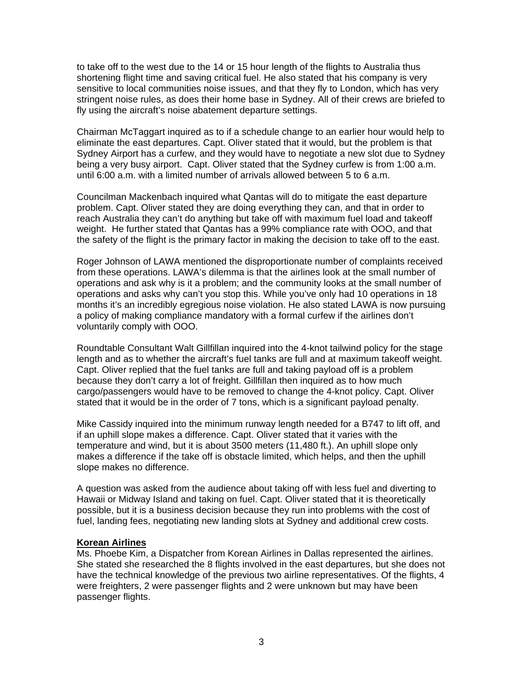to take off to the west due to the 14 or 15 hour length of the flights to Australia thus shortening flight time and saving critical fuel. He also stated that his company is very sensitive to local communities noise issues, and that they fly to London, which has very stringent noise rules, as does their home base in Sydney. All of their crews are briefed to fly using the aircraft's noise abatement departure settings.

Chairman McTaggart inquired as to if a schedule change to an earlier hour would help to eliminate the east departures. Capt. Oliver stated that it would, but the problem is that Sydney Airport has a curfew, and they would have to negotiate a new slot due to Sydney being a very busy airport. Capt. Oliver stated that the Sydney curfew is from 1:00 a.m. until 6:00 a.m. with a limited number of arrivals allowed between 5 to 6 a.m.

Councilman Mackenbach inquired what Qantas will do to mitigate the east departure problem. Capt. Oliver stated they are doing everything they can, and that in order to reach Australia they can't do anything but take off with maximum fuel load and takeoff weight. He further stated that Qantas has a 99% compliance rate with OOO, and that the safety of the flight is the primary factor in making the decision to take off to the east.

Roger Johnson of LAWA mentioned the disproportionate number of complaints received from these operations. LAWA's dilemma is that the airlines look at the small number of operations and ask why is it a problem; and the community looks at the small number of operations and asks why can't you stop this. While you've only had 10 operations in 18 months it's an incredibly egregious noise violation. He also stated LAWA is now pursuing a policy of making compliance mandatory with a formal curfew if the airlines don't voluntarily comply with OOO.

Roundtable Consultant Walt Gillfillan inquired into the 4-knot tailwind policy for the stage length and as to whether the aircraft's fuel tanks are full and at maximum takeoff weight. Capt. Oliver replied that the fuel tanks are full and taking payload off is a problem because they don't carry a lot of freight. Gillfillan then inquired as to how much cargo/passengers would have to be removed to change the 4-knot policy. Capt. Oliver stated that it would be in the order of 7 tons, which is a significant payload penalty.

Mike Cassidy inquired into the minimum runway length needed for a B747 to lift off, and if an uphill slope makes a difference. Capt. Oliver stated that it varies with the temperature and wind, but it is about 3500 meters (11,480 ft.). An uphill slope only makes a difference if the take off is obstacle limited, which helps, and then the uphill slope makes no difference.

A question was asked from the audience about taking off with less fuel and diverting to Hawaii or Midway Island and taking on fuel. Capt. Oliver stated that it is theoretically possible, but it is a business decision because they run into problems with the cost of fuel, landing fees, negotiating new landing slots at Sydney and additional crew costs.

### **Korean Airlines**

Ms. Phoebe Kim, a Dispatcher from Korean Airlines in Dallas represented the airlines. She stated she researched the 8 flights involved in the east departures, but she does not have the technical knowledge of the previous two airline representatives. Of the flights, 4 were freighters, 2 were passenger flights and 2 were unknown but may have been passenger flights.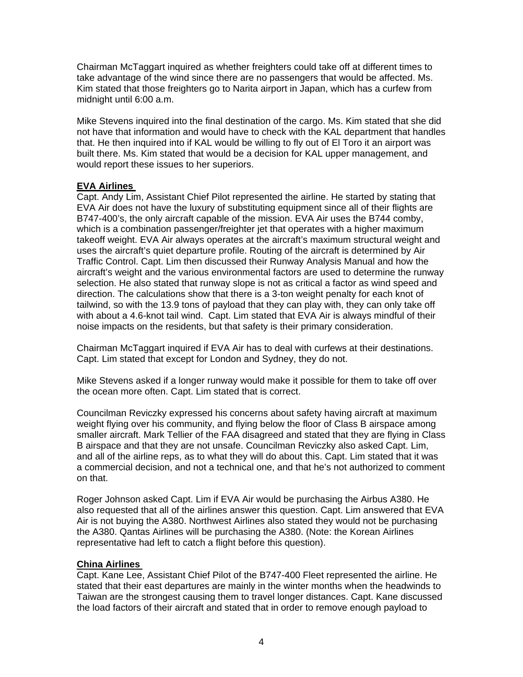Chairman McTaggart inquired as whether freighters could take off at different times to take advantage of the wind since there are no passengers that would be affected. Ms. Kim stated that those freighters go to Narita airport in Japan, which has a curfew from midnight until 6:00 a.m.

Mike Stevens inquired into the final destination of the cargo. Ms. Kim stated that she did not have that information and would have to check with the KAL department that handles that. He then inquired into if KAL would be willing to fly out of El Toro it an airport was built there. Ms. Kim stated that would be a decision for KAL upper management, and would report these issues to her superiors.

## **EVA Airlines**

Capt. Andy Lim, Assistant Chief Pilot represented the airline. He started by stating that EVA Air does not have the luxury of substituting equipment since all of their flights are B747-400's, the only aircraft capable of the mission. EVA Air uses the B744 comby, which is a combination passenger/freighter jet that operates with a higher maximum takeoff weight. EVA Air always operates at the aircraft's maximum structural weight and uses the aircraft's quiet departure profile. Routing of the aircraft is determined by Air Traffic Control. Capt. Lim then discussed their Runway Analysis Manual and how the aircraft's weight and the various environmental factors are used to determine the runway selection. He also stated that runway slope is not as critical a factor as wind speed and direction. The calculations show that there is a 3-ton weight penalty for each knot of tailwind, so with the 13.9 tons of payload that they can play with, they can only take off with about a 4.6-knot tail wind. Capt. Lim stated that EVA Air is always mindful of their noise impacts on the residents, but that safety is their primary consideration.

Chairman McTaggart inquired if EVA Air has to deal with curfews at their destinations. Capt. Lim stated that except for London and Sydney, they do not.

Mike Stevens asked if a longer runway would make it possible for them to take off over the ocean more often. Capt. Lim stated that is correct.

Councilman Reviczky expressed his concerns about safety having aircraft at maximum weight flying over his community, and flying below the floor of Class B airspace among smaller aircraft. Mark Tellier of the FAA disagreed and stated that they are flying in Class B airspace and that they are not unsafe. Councilman Reviczky also asked Capt. Lim, and all of the airline reps, as to what they will do about this. Capt. Lim stated that it was a commercial decision, and not a technical one, and that he's not authorized to comment on that.

Roger Johnson asked Capt. Lim if EVA Air would be purchasing the Airbus A380. He also requested that all of the airlines answer this question. Capt. Lim answered that EVA Air is not buying the A380. Northwest Airlines also stated they would not be purchasing the A380. Qantas Airlines will be purchasing the A380. (Note: the Korean Airlines representative had left to catch a flight before this question).

## **China Airlines**

Capt. Kane Lee, Assistant Chief Pilot of the B747-400 Fleet represented the airline. He stated that their east departures are mainly in the winter months when the headwinds to Taiwan are the strongest causing them to travel longer distances. Capt. Kane discussed the load factors of their aircraft and stated that in order to remove enough payload to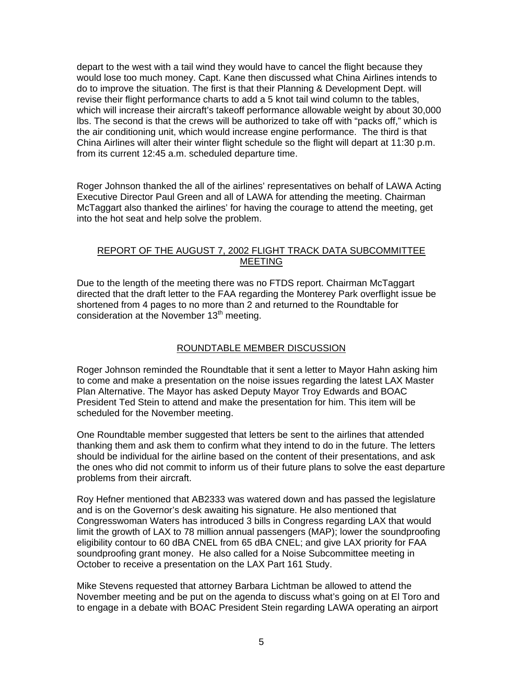depart to the west with a tail wind they would have to cancel the flight because they would lose too much money. Capt. Kane then discussed what China Airlines intends to do to improve the situation. The first is that their Planning & Development Dept. will revise their flight performance charts to add a 5 knot tail wind column to the tables, which will increase their aircraft's takeoff performance allowable weight by about 30,000 lbs. The second is that the crews will be authorized to take off with "packs off," which is the air conditioning unit, which would increase engine performance. The third is that China Airlines will alter their winter flight schedule so the flight will depart at 11:30 p.m. from its current 12:45 a.m. scheduled departure time.

Roger Johnson thanked the all of the airlines' representatives on behalf of LAWA Acting Executive Director Paul Green and all of LAWA for attending the meeting. Chairman McTaggart also thanked the airlines' for having the courage to attend the meeting, get into the hot seat and help solve the problem.

#### REPORT OF THE AUGUST 7, 2002 FLIGHT TRACK DATA SUBCOMMITTEE MEETING

Due to the length of the meeting there was no FTDS report. Chairman McTaggart directed that the draft letter to the FAA regarding the Monterey Park overflight issue be shortened from 4 pages to no more than 2 and returned to the Roundtable for consideration at the November  $13<sup>th</sup>$  meeting.

# ROUNDTABLE MEMBER DISCUSSION

Roger Johnson reminded the Roundtable that it sent a letter to Mayor Hahn asking him to come and make a presentation on the noise issues regarding the latest LAX Master Plan Alternative. The Mayor has asked Deputy Mayor Troy Edwards and BOAC President Ted Stein to attend and make the presentation for him. This item will be scheduled for the November meeting.

One Roundtable member suggested that letters be sent to the airlines that attended thanking them and ask them to confirm what they intend to do in the future. The letters should be individual for the airline based on the content of their presentations, and ask the ones who did not commit to inform us of their future plans to solve the east departure problems from their aircraft.

Roy Hefner mentioned that AB2333 was watered down and has passed the legislature and is on the Governor's desk awaiting his signature. He also mentioned that Congresswoman Waters has introduced 3 bills in Congress regarding LAX that would limit the growth of LAX to 78 million annual passengers (MAP); lower the soundproofing eligibility contour to 60 dBA CNEL from 65 dBA CNEL; and give LAX priority for FAA soundproofing grant money. He also called for a Noise Subcommittee meeting in October to receive a presentation on the LAX Part 161 Study.

Mike Stevens requested that attorney Barbara Lichtman be allowed to attend the November meeting and be put on the agenda to discuss what's going on at El Toro and to engage in a debate with BOAC President Stein regarding LAWA operating an airport